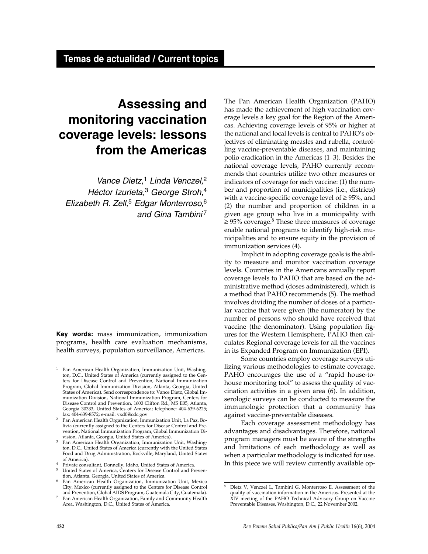# **Assessing and monitoring vaccination coverage levels: lessons from the Americas**

*Vance Dietz,*<sup>1</sup> *Linda Venczel,*<sup>2</sup> *Héctor Izurieta,*<sup>3</sup> *George Stroh,*<sup>4</sup> *Elizabeth R. Zell,*<sup>5</sup> *Edgar Monterroso,*<sup>6</sup> *and Gina Tambini* <sup>7</sup>

**Key words:** mass immunization, immunization programs, health care evaluation mechanisms, health surveys, population surveillance, Americas.

The Pan American Health Organization (PAHO) has made the achievement of high vaccination coverage levels a key goal for the Region of the Americas. Achieving coverage levels of 95% or higher at the national and local levels is central to PAHO's objectives of eliminating measles and rubella, controlling vaccine-preventable diseases, and maintaining polio eradication in the Americas (1–3). Besides the national coverage levels, PAHO currently recommends that countries utilize two other measures or indicators of coverage for each vaccine: (1) the number and proportion of municipalities (i.e., districts) with a vaccine-specific coverage level of  $\geq$  95%, and (2) the number and proportion of children in a given age group who live in a municipality with  $≥$  95% coverage.<sup>8</sup> These three measures of coverage enable national programs to identify high-risk municipalities and to ensure equity in the provision of immunization services (4).

Implicit in adopting coverage goals is the ability to measure and monitor vaccination coverage levels. Countries in the Americans annually report coverage levels to PAHO that are based on the administrative method (doses administered), which is a method that PAHO recommends (5). The method involves dividing the number of doses of a particular vaccine that were given (the numerator) by the number of persons who should have received that vaccine (the denominator). Using population figures for the Western Hemisphere, PAHO then calculates Regional coverage levels for all the vaccines in its Expanded Program on Immunization (EPI).

Some countries employ coverage surveys utilizing various methodologies to estimate coverage. PAHO encourages the use of a "rapid house-tohouse monitoring tool" to assess the quality of vaccination activities in a given area (6). In addition, serologic surveys can be conducted to measure the immunologic protection that a community has against vaccine-preventable diseases.

Each coverage assessment methodology has advantages and disadvantages. Therefore, national program managers must be aware of the strengths and limitations of each methodology as well as when a particular methodology is indicated for use. In this piece we will review currently available op-

<sup>1</sup> Pan American Health Organization, Immunization Unit, Washington, D.C., United States of America (currently assigned to the Centers for Disease Control and Prevention, National Immunization Program, Global Immunization Division, Atlanta, Georgia, United States of America). Send correspondence to: Vance Dietz, Global Immunization Division, National Immunization Program, Centers for Disease Control and Prevention, 1600 Clifton Rd., MS E05, Atlanta, Georgia 30333, United States of America; telephone: 404-639-6225; fax: 404-639-8572; e-mail: vxd0@cdc.gov

<sup>2</sup> Pan American Health Organization, Immunization Unit, La Paz, Bolivia (currently assigned to the Centers for Disease Control and Prevention, National Immunization Program, Global Immunization Division, Atlanta, Georgia, United States of America).

Pan American Health Organization, Immunization Unit, Washington, D.C., United States of America (currently with the United States Food and Drug Administration, Rockville, Maryland, United States

of America).<br>Private consultant, Donnelly, Idaho, United States of America. <sup>4</sup> Private consultant, Donnelly, Idaho, United States of America. 5 United States of America, Centers for Disease Control and Preven-

tion, Atlanta, Georgia, United States of America.

Pan American Health Organization, Immunization Unit, Mexico City, Mexico (currently assigned to the Centers for Disease Control and Prevention, Global AIDS Program, Guatemala City, Guatemala).

<sup>7</sup> Pan American Health Organization, Family and Community Health Area, Washington, D.C., United States of America.

Dietz V, Venczel L, Tambini G, Monterroso E. Assessment of the quality of vaccination information in the Americas. Presented at the XIV meeting of the PAHO Technical Advisory Group on Vaccine Preventable Diseases, Washington, D.C., 22 November 2002.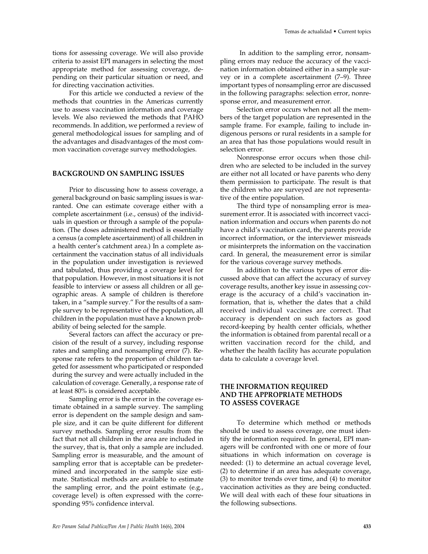tions for assessing coverage. We will also provide criteria to assist EPI managers in selecting the most appropriate method for assessing coverage, depending on their particular situation or need, and for directing vaccination activities.

For this article we conducted a review of the methods that countries in the Americas currently use to assess vaccination information and coverage levels. We also reviewed the methods that PAHO recommends. In addition, we performed a review of general methodological issues for sampling and of the advantages and disadvantages of the most common vaccination coverage survey methodologies.

## **BACKGROUND ON SAMPLING ISSUES**

Prior to discussing how to assess coverage, a general background on basic sampling issues is warranted. One can estimate coverage either with a complete ascertainment (i.e., census) of the individuals in question or through a sample of the population. (The doses administered method is essentially a census (a complete ascertainment) of all children in a health center's catchment area.) In a complete ascertainment the vaccination status of all individuals in the population under investigation is reviewed and tabulated, thus providing a coverage level for that population. However, in most situations it is not feasible to interview or assess all children or all geographic areas. A sample of children is therefore taken, in a "sample survey." For the results of a sample survey to be representative of the population, all children in the population must have a known probability of being selected for the sample.

Several factors can affect the accuracy or precision of the result of a survey, including response rates and sampling and nonsampling error (7). Response rate refers to the proportion of children targeted for assessment who participated or responded during the survey and were actually included in the calculation of coverage. Generally, a response rate of at least 80% is considered acceptable.

Sampling error is the error in the coverage estimate obtained in a sample survey. The sampling error is dependent on the sample design and sample size, and it can be quite different for different survey methods. Sampling error results from the fact that not all children in the area are included in the survey, that is, that only a sample are included. Sampling error is measurable, and the amount of sampling error that is acceptable can be predetermined and incorporated in the sample size estimate. Statistical methods are available to estimate the sampling error, and the point estimate (e.g., coverage level) is often expressed with the corresponding 95% confidence interval.

In addition to the sampling error, nonsampling errors may reduce the accuracy of the vaccination information obtained either in a sample survey or in a complete ascertainment (7–9). Three important types of nonsampling error are discussed in the following paragraphs: selection error, nonresponse error, and measurement error.

Selection error occurs when not all the members of the target population are represented in the sample frame. For example, failing to include indigenous persons or rural residents in a sample for an area that has those populations would result in selection error.

Nonresponse error occurs when those children who are selected to be included in the survey are either not all located or have parents who deny them permission to participate. The result is that the children who are surveyed are not representative of the entire population.

The third type of nonsampling error is measurement error. It is associated with incorrect vaccination information and occurs when parents do not have a child's vaccination card, the parents provide incorrect information, or the interviewer misreads or misinterprets the information on the vaccination card. In general, the measurement error is similar for the various coverage survey methods.

In addition to the various types of error discussed above that can affect the accuracy of survey coverage results, another key issue in assessing coverage is the accuracy of a child's vaccination information, that is, whether the dates that a child received individual vaccines are correct. That accuracy is dependent on such factors as good record-keeping by health center officials, whether the information is obtained from parental recall or a written vaccination record for the child, and whether the health facility has accurate population data to calculate a coverage level.

# **THE INFORMATION REQUIRED AND THE APPROPRIATE METHODS TO ASSESS COVERAGE**

To determine which method or methods should be used to assess coverage, one must identify the information required. In general, EPI managers will be confronted with one or more of four situations in which information on coverage is needed: (1) to determine an actual coverage level, (2) to determine if an area has adequate coverage, (3) to monitor trends over time, and (4) to monitor vaccination activities as they are being conducted. We will deal with each of these four situations in the following subsections.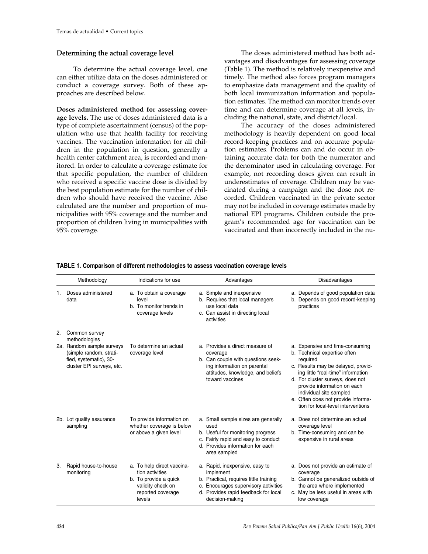## **Determining the actual coverage level**

To determine the actual coverage level, one can either utilize data on the doses administered or conduct a coverage survey. Both of these approaches are described below.

**Doses administered method for assessing coverage levels.** The use of doses administered data is a type of complete ascertainment (census) of the population who use that health facility for receiving vaccines. The vaccination information for all children in the population in question, generally a health center catchment area, is recorded and monitored. In order to calculate a coverage estimate for that specific population, the number of children who received a specific vaccine dose is divided by the best population estimate for the number of children who should have received the vaccine. Also calculated are the number and proportion of municipalities with 95% coverage and the number and proportion of children living in municipalities with 95% coverage.

The doses administered method has both advantages and disadvantages for assessing coverage (Table 1). The method is relatively inexpensive and timely. The method also forces program managers to emphasize data management and the quality of both local immunization information and population estimates. The method can monitor trends over time and can determine coverage at all levels, including the national, state, and district/local.

The accuracy of the doses administered methodology is heavily dependent on good local record-keeping practices and on accurate population estimates. Problems can and do occur in obtaining accurate data for both the numerator and the denominator used in calculating coverage. For example, not recording doses given can result in underestimates of coverage. Children may be vaccinated during a campaign and the dose not recorded. Children vaccinated in the private sector may not be included in coverage estimates made by national EPI programs. Children outside the program's recommended age for vaccination can be vaccinated and then incorrectly included in the nu-

|    | Methodology                                                                                                 | Indications for use                                                                                                        | Advantages                                                                                                                                                                               | <b>Disadvantages</b>                                                                                                                                                                                                                                                                                                              |
|----|-------------------------------------------------------------------------------------------------------------|----------------------------------------------------------------------------------------------------------------------------|------------------------------------------------------------------------------------------------------------------------------------------------------------------------------------------|-----------------------------------------------------------------------------------------------------------------------------------------------------------------------------------------------------------------------------------------------------------------------------------------------------------------------------------|
| 1. | Doses administered<br>data                                                                                  | a. To obtain a coverage<br>level<br>b. To monitor trends in<br>coverage levels                                             | a. Simple and inexpensive<br>b. Requires that local managers<br>use local data<br>c. Can assist in directing local<br>activities                                                         | a. Depends of good population data<br>b. Depends on good record-keeping<br>practices                                                                                                                                                                                                                                              |
| 2. | Common survey<br>methodologies                                                                              |                                                                                                                            |                                                                                                                                                                                          |                                                                                                                                                                                                                                                                                                                                   |
|    | 2a. Random sample surveys<br>(simple random, strati-<br>fied, systematic), 30-<br>cluster EPI surveys, etc. | To determine an actual<br>coverage level                                                                                   | a. Provides a direct measure of<br>coverage<br>b. Can couple with questions seek-<br>ing information on parental<br>attitudes, knowledge, and beliefs<br>toward vaccines                 | a. Expensive and time-consuming<br>b. Technical expertise often<br>required<br>c. Results may be delayed, provid-<br>ing little "real-time" information<br>d. For cluster surveys, does not<br>provide information on each<br>individual site sampled<br>e. Often does not provide informa-<br>tion for local-level interventions |
|    | 2b. Lot quality assurance<br>sampling                                                                       | To provide information on<br>whether coverage is below<br>or above a given level                                           | a. Small sample sizes are generally<br>used<br>b. Useful for monitoring progress<br>c. Fairly rapid and easy to conduct<br>d. Provides information for each<br>area sampled              | a. Does not determine an actual<br>coverage level<br>b. Time-consuming and can be<br>expensive in rural areas                                                                                                                                                                                                                     |
| 3. | Rapid house-to-house<br>monitoring                                                                          | a. To help direct vaccina-<br>tion activities<br>b. To provide a quick<br>validity check on<br>reported coverage<br>levels | a. Rapid, inexpensive, easy to<br>implement<br>b. Practical, requires little training<br>c. Encourages supervisory activities<br>d. Provides rapid feedback for local<br>decision-making | a. Does not provide an estimate of<br>coverage<br>b. Cannot be generalized outside of<br>the area where implemented<br>c. May be less useful in areas with<br>low coverage                                                                                                                                                        |

#### **TABLE 1. Comparison of different methodologies to assess vaccination coverage levels**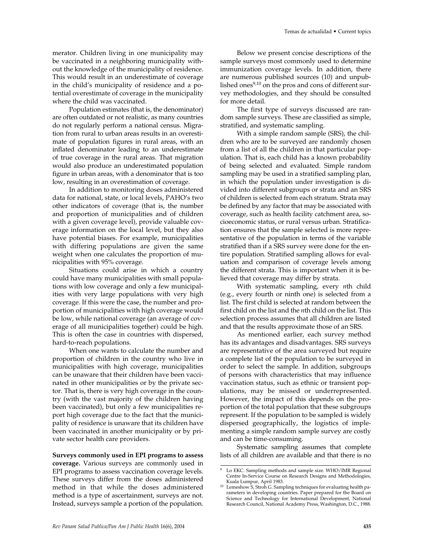merator. Children living in one municipality may be vaccinated in a neighboring municipality without the knowledge of the municipality of residence. This would result in an underestimate of coverage in the child's municipality of residence and a potential overestimate of coverage in the municipality where the child was vaccinated.

Population estimates (that is, the denominator) are often outdated or not realistic, as many countries do not regularly perform a national census. Migration from rural to urban areas results in an overestimate of population figures in rural areas, with an inflated denominator leading to an underestimate of true coverage in the rural areas. That migration would also produce an underestimated population figure in urban areas, with a denominator that is too low, resulting in an overestimation of coverage.

In addition to monitoring doses administered data for national, state, or local levels, PAHO's two other indicators of coverage (that is, the number and proportion of municipalities and of children with a given coverage level), provide valuable coverage information on the local level, but they also have potential biases. For example, municipalities with differing populations are given the same weight when one calculates the proportion of municipalities with 95% coverage.

Situations could arise in which a country could have many municipalities with small populations with low coverage and only a few municipalities with very large populations with very high coverage. If this were the case, the number and proportion of municipalities with high coverage would be low, while national coverage (an average of coverage of all municipalities together) could be high. This is often the case in countries with dispersed, hard-to-reach populations.

When one wants to calculate the number and proportion of children in the country who live in municipalities with high coverage, municipalities can be unaware that their children have been vaccinated in other municipalities or by the private sector. That is, there is very high coverage in the country (with the vast majority of the children having been vaccinated), but only a few municipalities report high coverage due to the fact that the municipality of residence is unaware that its children have been vaccinated in another municipality or by private sector health care providers.

**Surveys commonly used in EPI programs to assess coverage.** Various surveys are commonly used in EPI programs to assess vaccination coverage levels. These surveys differ from the doses administered method in that while the doses administered method is a type of ascertainment, surveys are not. Instead, surveys sample a portion of the population.

Below we present concise descriptions of the sample surveys most commonly used to determine immunization coverage levels. In addition, there are numerous published sources (10) and unpublished ones<sup>9,10</sup> on the pros and cons of different survey methodologies, and they should be consulted for more detail.

The first type of surveys discussed are random sample surveys. These are classified as simple, stratified, and systematic sampling.

With a simple random sample (SRS), the children who are to be surveyed are randomly chosen from a list of all the children in that particular population. That is, each child has a known probability of being selected and evaluated. Simple random sampling may be used in a stratified sampling plan, in which the population under investigation is divided into different subgroups or strata and an SRS of children is selected from each stratum. Strata may be defined by any factor that may be associated with coverage, such as health facility catchment area, socioeconomic status, or rural versus urban. Stratification ensures that the sample selected is more representative of the population in terms of the variable stratified than if a SRS survey were done for the entire population. Stratified sampling allows for evaluation and comparison of coverage levels among the different strata. This is important when it is believed that coverage may differ by strata.

With systematic sampling, every *n*th child (e.g., every fourth or ninth one) is selected from a list. The first child is selected at random between the first child on the list and the *n*th child on the list. This selection process assumes that all children are listed and that the results approximate those of an SRS.

As mentioned earlier, each survey method has its advantages and disadvantages. SRS surveys are representative of the area surveyed but require a complete list of the population to be surveyed in order to select the sample. In addition, subgroups of persons with characteristics that may influence vaccination status, such as ethnic or transient populations, may be missed or underrepresented. However, the impact of this depends on the proportion of the total population that these subgroups represent. If the population to be sampled is widely dispersed geographically, the logistics of implementing a simple random sample survey are costly and can be time-consuming.

Systematic sampling assumes that complete lists of all children are available and that there is no

Lo EKC. Sampling methods and sample size. WHO/IMR Regional Centre In-Service Course on Research Designs and Methodologies, Kuala Lumpur, April 1983.

<sup>&</sup>lt;sup>10</sup> Lemeshow S, Stroh G. Sampling techniques for evaluating health parameters in developing countries. Paper prepared for the Board on Science and Technology for International Development, National Research Council, National Academy Press, Washington, D.C., 1988.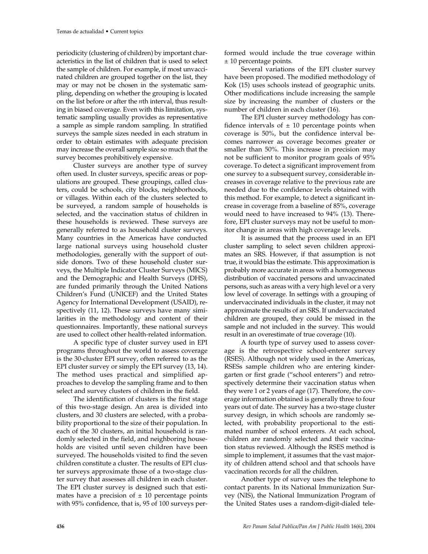periodicity (clustering of children) by important characteristics in the list of children that is used to select the sample of children. For example, if most unvaccinated children are grouped together on the list, they may or may not be chosen in the systematic sampling, depending on whether the grouping is located on the list before or after the *n*th interval, thus resulting in biased coverage. Even with this limitation, systematic sampling usually provides as representative a sample as simple random sampling. In stratified surveys the sample sizes needed in each stratum in order to obtain estimates with adequate precision may increase the overall sample size so much that the survey becomes prohibitively expensive.

Cluster surveys are another type of survey often used. In cluster surveys, specific areas or populations are grouped. These groupings, called clusters, could be schools, city blocks, neighborhoods, or villages. Within each of the clusters selected to be surveyed, a random sample of households is selected, and the vaccination status of children in these households is reviewed. These surveys are generally referred to as household cluster surveys. Many countries in the Americas have conducted large national surveys using household cluster methodologies, generally with the support of outside donors. Two of these household cluster surveys, the Multiple Indicator Cluster Surveys (MICS) and the Demographic and Health Surveys (DHS), are funded primarily through the United Nations Children's Fund (UNICEF) and the United States Agency for International Development (USAID), respectively (11, 12). These surveys have many similarities in the methodology and content of their questionnaires. Importantly, these national surveys are used to collect other health-related information.

A specific type of cluster survey used in EPI programs throughout the world to assess coverage is the 30-cluster EPI survey, often referred to as the EPI cluster survey or simply the EPI survey (13, 14). The method uses practical and simplified approaches to develop the sampling frame and to then select and survey clusters of children in the field.

The identification of clusters is the first stage of this two-stage design. An area is divided into clusters, and 30 clusters are selected, with a probability proportional to the size of their population. In each of the 30 clusters, an initial household is randomly selected in the field, and neighboring households are visited until seven children have been surveyed. The households visited to find the seven children constitute a cluster. The results of EPI cluster surveys approximate those of a two-stage cluster survey that assesses all children in each cluster. The EPI cluster survey is designed such that estimates have a precision of  $\pm$  10 percentage points with 95% confidence, that is, 95 of 100 surveys performed would include the true coverage within ± 10 percentage points.

Several variations of the EPI cluster survey have been proposed. The modified methodology of Kok (15) uses schools instead of geographic units. Other modifications include increasing the sample size by increasing the number of clusters or the number of children in each cluster (16).

The EPI cluster survey methodology has confidence intervals of  $\pm$  10 percentage points when coverage is 50%, but the confidence interval becomes narrower as coverage becomes greater or smaller than 50%. This increase in precision may not be sufficient to monitor program goals of 95% coverage. To detect a significant improvement from one survey to a subsequent survey, considerable increases in coverage relative to the previous rate are needed due to the confidence levels obtained with this method. For example, to detect a significant increase in coverage from a baseline of 85%, coverage would need to have increased to 94% (13). Therefore, EPI cluster surveys may not be useful to monitor change in areas with high coverage levels.

It is assumed that the process used in an EPI cluster sampling to select seven children approximates an SRS. However, if that assumption is not true, it would bias the estimate. This approximation is probably more accurate in areas with a homogeneous distribution of vaccinated persons and unvaccinated persons, such as areas with a very high level or a very low level of coverage. In settings with a grouping of undervaccinated individuals in the cluster, it may not approximate the results of an SRS. If undervaccinated children are grouped, they could be missed in the sample and not included in the survey. This would result in an overestimate of true coverage (10).

A fourth type of survey used to assess coverage is the retrospective school-enterer survey (RSES). Although not widely used in the Americas, RSESs sample children who are entering kindergarten or first grade ("school enterers") and retrospectively determine their vaccination status when they were 1 or 2 years of age (17). Therefore, the coverage information obtained is generally three to four years out of date. The survey has a two-stage cluster survey design, in which schools are randomly selected, with probability proportional to the estimated number of school enterers. At each school, children are randomly selected and their vaccination status reviewed. Although the RSES method is simple to implement, it assumes that the vast majority of children attend school and that schools have vaccination records for all the children.

Another type of survey uses the telephone to contact parents. In its National Immunization Survey (NIS), the National Immunization Program of the United States uses a random-digit-dialed tele-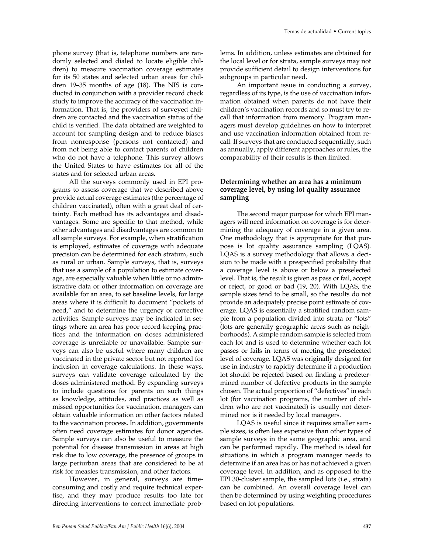phone survey (that is, telephone numbers are randomly selected and dialed to locate eligible children) to measure vaccination coverage estimates for its 50 states and selected urban areas for children 19–35 months of age (18). The NIS is conducted in conjunction with a provider record check study to improve the accuracy of the vaccination information. That is, the providers of surveyed children are contacted and the vaccination status of the child is verified. The data obtained are weighted to account for sampling design and to reduce biases from nonresponse (persons not contacted) and from not being able to contact parents of children who do not have a telephone. This survey allows the United States to have estimates for all of the states and for selected urban areas.

All the surveys commonly used in EPI programs to assess coverage that we described above provide actual coverage estimates (the percentage of children vaccinated), often with a great deal of certainty. Each method has its advantages and disadvantages. Some are specific to that method, while other advantages and disadvantages are common to all sample surveys. For example, when stratification is employed, estimates of coverage with adequate precision can be determined for each stratum, such as rural or urban. Sample surveys, that is, surveys that use a sample of a population to estimate coverage, are especially valuable when little or no administrative data or other information on coverage are available for an area, to set baseline levels, for large areas where it is difficult to document "pockets of need," and to determine the urgency of corrective activities. Sample surveys may be indicated in settings where an area has poor record-keeping practices and the information on doses administered coverage is unreliable or unavailable. Sample surveys can also be useful where many children are vaccinated in the private sector but not reported for inclusion in coverage calculations. In these ways, surveys can validate coverage calculated by the doses administered method. By expanding surveys to include questions for parents on such things as knowledge, attitudes, and practices as well as missed opportunities for vaccination, managers can obtain valuable information on other factors related to the vaccination process. In addition, governments often need coverage estimates for donor agencies. Sample surveys can also be useful to measure the potential for disease transmission in areas at high risk due to low coverage, the presence of groups in large periurban areas that are considered to be at risk for measles transmission, and other factors.

However, in general, surveys are timeconsuming and costly and require technical expertise, and they may produce results too late for directing interventions to correct immediate problems. In addition, unless estimates are obtained for the local level or for strata, sample surveys may not provide sufficient detail to design interventions for subgroups in particular need.

An important issue in conducting a survey, regardless of its type, is the use of vaccination information obtained when parents do not have their children's vaccination records and so must try to recall that information from memory. Program managers must develop guidelines on how to interpret and use vaccination information obtained from recall. If surveys that are conducted sequentially, such as annually, apply different approaches or rules, the comparability of their results is then limited.

## **Determining whether an area has a minimum coverage level, by using lot quality assurance sampling**

The second major purpose for which EPI managers will need information on coverage is for determining the adequacy of coverage in a given area. One methodology that is appropriate for that purpose is lot quality assurance sampling (LQAS). LQAS is a survey methodology that allows a decision to be made with a prespecified probability that a coverage level is above or below a preselected level. That is, the result is given as pass or fail, accept or reject, or good or bad (19, 20). With LQAS, the sample sizes tend to be small, so the results do not provide an adequately precise point estimate of coverage. LQAS is essentially a stratified random sample from a population divided into strata or "lots" (lots are generally geographic areas such as neighborhoods). A simple random sample is selected from each lot and is used to determine whether each lot passes or fails in terms of meeting the preselected level of coverage. LQAS was originally designed for use in industry to rapidly determine if a production lot should be rejected based on finding a predetermined number of defective products in the sample chosen. The actual proportion of "defectives" in each lot (for vaccination programs, the number of children who are not vaccinated) is usually not determined nor is it needed by local managers.

LQAS is useful since it requires smaller sample sizes, is often less expensive than other types of sample surveys in the same geographic area, and can be performed rapidly. The method is ideal for situations in which a program manager needs to determine if an area has or has not achieved a given coverage level. In addition, and as opposed to the EPI 30-cluster sample, the sampled lots (i.e., strata) can be combined. An overall coverage level can then be determined by using weighting procedures based on lot populations.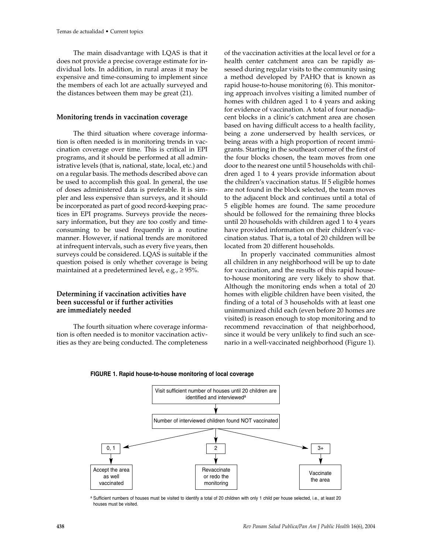The main disadvantage with LQAS is that it does not provide a precise coverage estimate for individual lots. In addition, in rural areas it may be expensive and time-consuming to implement since the members of each lot are actually surveyed and the distances between them may be great (21).

#### **Monitoring trends in vaccination coverage**

The third situation where coverage information is often needed is in monitoring trends in vaccination coverage over time. This is critical in EPI programs, and it should be performed at all administrative levels (that is, national, state, local, etc.) and on a regular basis. The methods described above can be used to accomplish this goal. In general, the use of doses administered data is preferable. It is simpler and less expensive than surveys, and it should be incorporated as part of good record-keeping practices in EPI programs. Surveys provide the necessary information, but they are too costly and timeconsuming to be used frequently in a routine manner. However, if national trends are monitored at infrequent intervals, such as every five years, then surveys could be considered. LQAS is suitable if the question poised is only whether coverage is being maintained at a predetermined level, e.g.,  $\geq$  95%.

## **Determining if vaccination activities have been successful or if further activities are immediately needed**

The fourth situation where coverage information is often needed is to monitor vaccination activities as they are being conducted. The completeness of the vaccination activities at the local level or for a health center catchment area can be rapidly assessed during regular visits to the community using a method developed by PAHO that is known as rapid house-to-house monitoring (6). This monitoring approach involves visiting a limited number of homes with children aged 1 to 4 years and asking for evidence of vaccination. A total of four nonadjacent blocks in a clinic's catchment area are chosen based on having difficult access to a health facility, being a zone underserved by health services, or being areas with a high proportion of recent immigrants. Starting in the southeast corner of the first of the four blocks chosen, the team moves from one door to the nearest one until 5 households with children aged 1 to 4 years provide information about the children's vaccination status. If 5 eligible homes are not found in the block selected, the team moves to the adjacent block and continues until a total of 5 eligible homes are found. The same procedure should be followed for the remaining three blocks until 20 households with children aged 1 to 4 years have provided information on their children's vaccination status. That is, a total of 20 children will be located from 20 different households.

In properly vaccinated communities almost all children in any neighborhood will be up to date for vaccination, and the results of this rapid houseto-house monitoring are very likely to show that. Although the monitoring ends when a total of 20 homes with eligible children have been visited, the finding of a total of 3 households with at least one unimmunized child each (even before 20 homes are visited) is reason enough to stop monitoring and to recommend revaccination of that neighborhood, since it would be very unlikely to find such an scenario in a well-vaccinated neighborhood (Figure 1).





a Sufficient numbers of houses must be visited to identify a total of 20 children with only 1 child per house selected, i.e., at least 20 houses must be visited.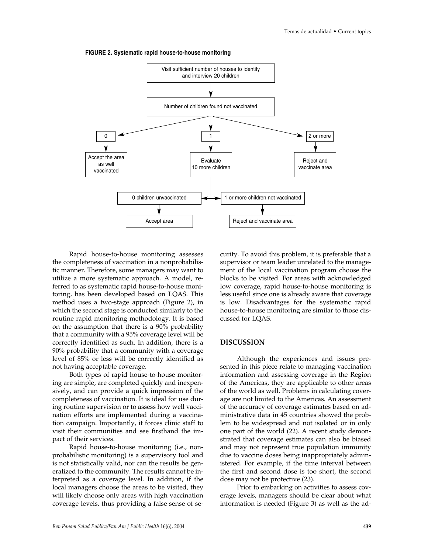



Rapid house-to-house monitoring assesses the completeness of vaccination in a nonprobabilistic manner. Therefore, some managers may want to utilize a more systematic approach. A model, referred to as systematic rapid house-to-house monitoring, has been developed based on LQAS. This method uses a two-stage approach (Figure 2), in which the second stage is conducted similarly to the routine rapid monitoring methodology. It is based on the assumption that there is a 90% probability that a community with a 95% coverage level will be correctly identified as such. In addition, there is a 90% probability that a community with a coverage level of 85% or less will be correctly identified as not having acceptable coverage.

Both types of rapid house-to-house monitoring are simple, are completed quickly and inexpensively, and can provide a quick impression of the completeness of vaccination. It is ideal for use during routine supervision or to assess how well vaccination efforts are implemented during a vaccination campaign. Importantly, it forces clinic staff to visit their communities and see firsthand the impact of their services.

Rapid house-to-house monitoring (i.e., nonprobabilistic monitoring) is a supervisory tool and is not statistically valid, nor can the results be generalized to the community. The results cannot be interpreted as a coverage level. In addition, if the local managers choose the areas to be visited, they will likely choose only areas with high vaccination coverage levels, thus providing a false sense of security. To avoid this problem, it is preferable that a supervisor or team leader unrelated to the management of the local vaccination program choose the blocks to be visited. For areas with acknowledged low coverage, rapid house-to-house monitoring is less useful since one is already aware that coverage is low. Disadvantages for the systematic rapid house-to-house monitoring are similar to those discussed for LQAS.

## **DISCUSSION**

Although the experiences and issues presented in this piece relate to managing vaccination information and assessing coverage in the Region of the Americas, they are applicable to other areas of the world as well. Problems in calculating coverage are not limited to the Americas. An assessment of the accuracy of coverage estimates based on administrative data in 45 countries showed the problem to be widespread and not isolated or in only one part of the world (22). A recent study demonstrated that coverage estimates can also be biased and may not represent true population immunity due to vaccine doses being inappropriately administered. For example, if the time interval between the first and second dose is too short, the second dose may not be protective (23).

Prior to embarking on activities to assess coverage levels, managers should be clear about what information is needed (Figure 3) as well as the ad-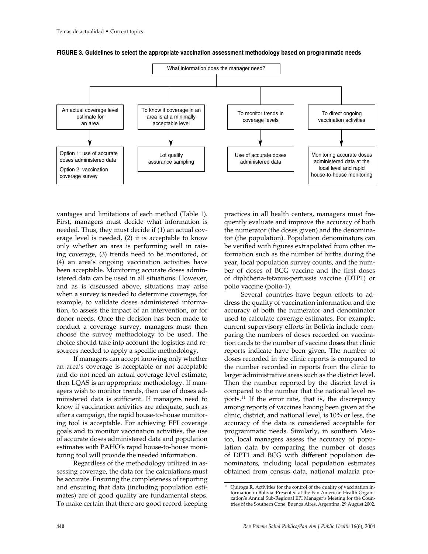



vantages and limitations of each method (Table 1). First, managers must decide what information is needed. Thus, they must decide if (1) an actual coverage level is needed, (2) it is acceptable to know only whether an area is performing well in raising coverage, (3) trends need to be monitored, or (4) an area's ongoing vaccination activities have been acceptable. Monitoring accurate doses administered data can be used in all situations. However, and as is discussed above, situations may arise when a survey is needed to determine coverage, for example, to validate doses administered information, to assess the impact of an intervention, or for donor needs. Once the decision has been made to conduct a coverage survey, managers must then choose the survey methodology to be used. The choice should take into account the logistics and resources needed to apply a specific methodology.

If managers can accept knowing only whether an area's coverage is acceptable or not acceptable and do not need an actual coverage level estimate, then LQAS is an appropriate methodology. If managers wish to monitor trends, then use of doses administered data is sufficient. If managers need to know if vaccination activities are adequate, such as after a campaign, the rapid house-to-house monitoring tool is acceptable. For achieving EPI coverage goals and to monitor vaccination activities, the use of accurate doses administered data and population estimates with PAHO's rapid house-to-house monitoring tool will provide the needed information.

Regardless of the methodology utilized in assessing coverage, the data for the calculations must be accurate. Ensuring the completeness of reporting and ensuring that data (including population estimates) are of good quality are fundamental steps. To make certain that there are good record-keeping

practices in all health centers, managers must frequently evaluate and improve the accuracy of both the numerator (the doses given) and the denominator (the population). Population denominators can be verified with figures extrapolated from other information such as the number of births during the year, local population survey counts, and the number of doses of BCG vaccine and the first doses of diphtheria-tetanus-pertussis vaccine (DTP1) or polio vaccine (polio-1).

Several countries have begun efforts to address the quality of vaccination information and the accuracy of both the numerator and denominator used to calculate coverage estimates. For example, current supervisory efforts in Bolivia include comparing the numbers of doses recorded on vaccination cards to the number of vaccine doses that clinic reports indicate have been given. The number of doses recorded in the clinic reports is compared to the number recorded in reports from the clinic to larger administrative areas such as the district level. Then the number reported by the district level is compared to the number that the national level reports.<sup>11</sup> If the error rate, that is, the discrepancy among reports of vaccines having been given at the clinic, district, and national level, is 10% or less, the accuracy of the data is considered acceptable for programmatic needs. Similarly, in southern Mexico, local managers assess the accuracy of population data by comparing the number of doses of DPT1 and BCG with different population denominators, including local population estimates obtained from census data, national malaria pro-

<sup>&</sup>lt;sup>11</sup> Quiroga R. Activities for the control of the quality of vaccination information in Bolivia. Presented at the Pan American Health Organization's Annual Sub-Regional EPI Manager's Meeting for the Countries of the Southern Cone, Buenos Aires, Argentina, 29 August 2002.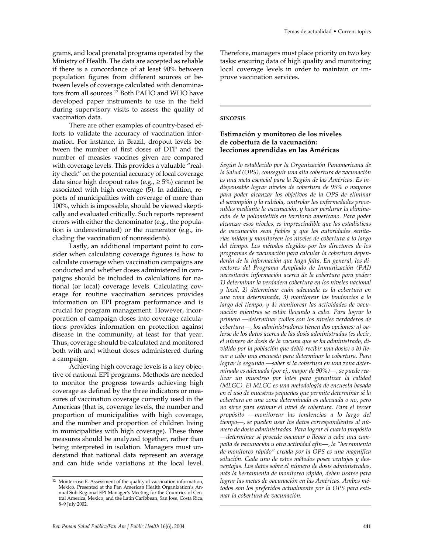grams, and local prenatal programs operated by the Ministry of Health. The data are accepted as reliable if there is a concordance of at least 90% between population figures from different sources or between levels of coverage calculated with denominators from all sources.<sup>12</sup> Both PAHO and WHO have developed paper instruments to use in the field during supervisory visits to assess the quality of vaccination data.

There are other examples of country-based efforts to validate the accuracy of vaccination information. For instance, in Brazil, dropout levels between the number of first doses of DTP and the number of measles vaccines given are compared with coverage levels. This provides a valuable "reality check" on the potential accuracy of local coverage data since high dropout rates (e.g.,  $\geq$  5%) cannot be associated with high coverage (5). In addition, reports of municipalities with coverage of more than 100%, which is impossible, should be viewed skeptically and evaluated critically. Such reports represent errors with either the denominator (e.g., the population is underestimated) or the numerator (e.g., including the vaccination of nonresidents).

Lastly, an additional important point to consider when calculating coverage figures is how to calculate coverage when vaccination campaigns are conducted and whether doses administered in campaigns should be included in calculations for national (or local) coverage levels. Calculating coverage for routine vaccination services provides information on EPI program performance and is crucial for program management. However, incorporation of campaign doses into coverage calculations provides information on protection against disease in the community, at least for that year. Thus, coverage should be calculated and monitored both with and without doses administered during a campaign.

Achieving high coverage levels is a key objective of national EPI programs. Methods are needed to monitor the progress towards achieving high coverage as defined by the three indicators or measures of vaccination coverage currently used in the Americas (that is, coverage levels, the number and proportion of municipalities with high coverage, and the number and proportion of children living in municipalities with high coverage). These three measures should be analyzed together, rather than being interpreted in isolation. Managers must understand that national data represent an average and can hide wide variations at the local level.

Therefore, managers must place priority on two key tasks: ensuring data of high quality and monitoring local coverage levels in order to maintain or improve vaccination services.

#### **SINOPSIS**

# **Estimación y monitoreo de los niveles de cobertura de la vacunación: lecciones aprendidas en las Américas**

*Según lo establecido por la Organización Panamericana de la Salud (OPS), conseguir una alta cobertura de vacunación es una meta esencial para la Región de las Américas. Es indispensable lograr niveles de cobertura de 95% o mayores para poder alcanzar los objetivos de la OPS de eliminar el sarampión y la rubéola, controlar las enfermedades prevenibles mediante la vacunación, y hacer perdurar la eliminación de la poliomielitis en territorio americano. Para poder alcanzar esos niveles, es imprescindible que las estadísticas de vacunación sean fiables y que las autoridades sanitarias midan y monitoreen los niveles de cobertura a lo largo del tiempo. Los métodos elegidos por los directores de los programas de vacunación para calcular la cobertura dependerán de la información que haga falta. En general, los directores del Programa Ampliado de Inmunización (PAI) necesitarán información acerca de la cobertura para poder: 1) determinar la verdadera cobertura en los niveles nacional y local, 2) determinar cuán adecuada es la cobertura en una zona determinada, 3) monitorear las tendencias a lo largo del tiempo, y 4) monitorear las actividades de vacunación mientras se están llevando a cabo. Para lograr lo primero —determinar cuáles son los niveles verdaderos de cobertura—, los administradores tienen dos opciones: a) valerse de los datos acerca de las dosis administradas (es decir, el número de dosis de la vacuna que se ha administrado, dividido por la población que debió recibir una dosis) o b) llevar a cabo una encuesta para determinar la cobertura. Para lograr lo segundo —saber si la cobertura en una zona determinada es adecuada (por ej., mayor de 90%)—, se puede realizar un muestreo por lotes para garantizar la calidad (MLGC). El MLGC es una metodología de encuesta basada en el uso de muestras pequeñas que permite determinar si la cobertura en una zona determinada es adecuada o no, pero no sirve para estimar el nivel de cobertura. Para el tercer propósito —monitorear las tendencias a lo largo del tiempo—, se pueden usar los datos correspondientes al número de dosis administradas. Para lograr el cuarto propósito —determinar si procede vacunar o llevar a cabo una campaña de vacunación u otra actividad afín—, la "herramienta de monitoreo rápido" creada por la OPS es una magnífica solución. Cada uno de estos métodos posee ventajas y desventajas. Los datos sobre el número de dosis administradas, más la herramienta de monitoreo rápido, deben usarse para lograr las metas de vacunación en las Américas. Ambos métodos son los preferidos actualmente por la OPS para estimar la cobertura de vacunación.*

 $^{\rm 12}$ Monterroso E. Assessment of the quality of vaccination information, Mexico. Presented at the Pan American Health Organization's Annual Sub-Regional EPI Manager's Meeting for the Countries of Central America, Mexico, and the Latin Caribbean, San Jose, Costa Rica, 8–9 July 2002.